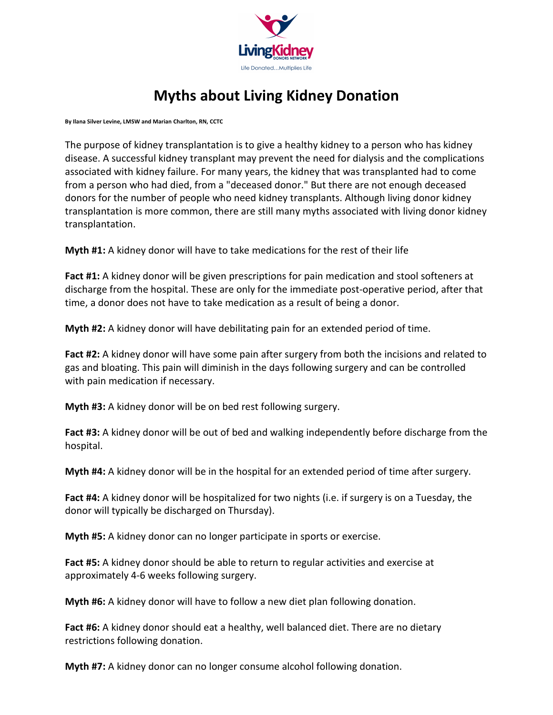

## Myths about Living Kidney Donation

By Ilana Silver Levine, LMSW and Marian Charlton, RN, CCTC

The purpose of kidney transplantation is to give a healthy kidney to a person who has kidney disease. A successful kidney transplant may prevent the need for dialysis and the complications associated with kidney failure. For many years, the kidney that was transplanted had to come from a person who had died, from a "deceased donor." But there are not enough deceased donors for the number of people who need kidney transplants. Although living donor kidney transplantation is more common, there are still many myths associated with living donor kidney transplantation.

Myth #1: A kidney donor will have to take medications for the rest of their life

Fact #1: A kidney donor will be given prescriptions for pain medication and stool softeners at discharge from the hospital. These are only for the immediate post-operative period, after that time, a donor does not have to take medication as a result of being a donor.

Myth #2: A kidney donor will have debilitating pain for an extended period of time.

Fact #2: A kidney donor will have some pain after surgery from both the incisions and related to gas and bloating. This pain will diminish in the days following surgery and can be controlled with pain medication if necessary.

Myth #3: A kidney donor will be on bed rest following surgery.

Fact #3: A kidney donor will be out of bed and walking independently before discharge from the hospital.

Myth #4: A kidney donor will be in the hospital for an extended period of time after surgery.

Fact #4: A kidney donor will be hospitalized for two nights (i.e. if surgery is on a Tuesday, the donor will typically be discharged on Thursday).

Myth #5: A kidney donor can no longer participate in sports or exercise.

Fact #5: A kidney donor should be able to return to regular activities and exercise at approximately 4-6 weeks following surgery.

Myth #6: A kidney donor will have to follow a new diet plan following donation.

Fact #6: A kidney donor should eat a healthy, well balanced diet. There are no dietary restrictions following donation.

Myth #7: A kidney donor can no longer consume alcohol following donation.